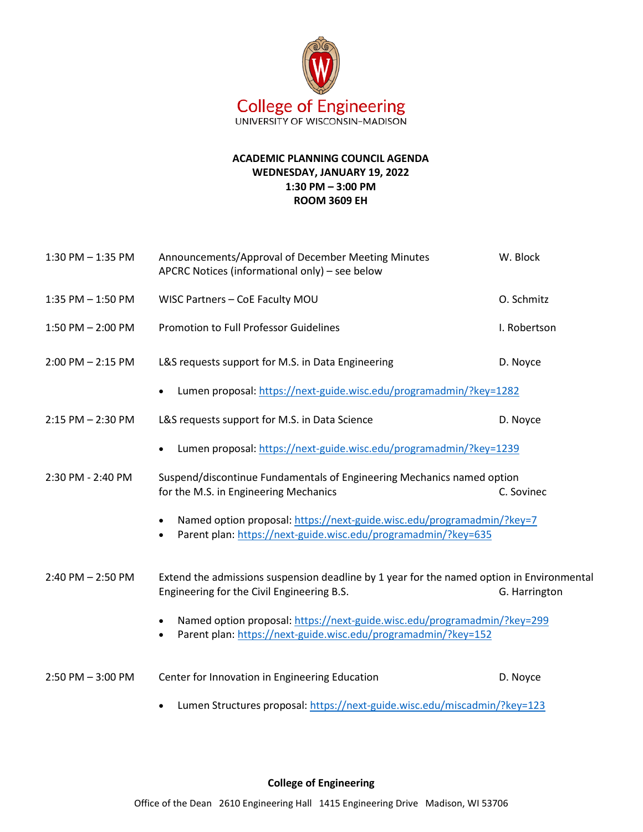

## **ACADEMIC PLANNING COUNCIL AGENDA WEDNESDAY, JANUARY 19, 2022 1:30 PM – 3:00 PM ROOM 3609 EH**

| 1:30 PM - 1:35 PM     | Announcements/Approval of December Meeting Minutes<br>APCRC Notices (informational only) - see below                                                    | W. Block      |
|-----------------------|---------------------------------------------------------------------------------------------------------------------------------------------------------|---------------|
| 1:35 PM $-$ 1:50 PM   | WISC Partners - CoE Faculty MOU                                                                                                                         | O. Schmitz    |
| $1:50$ PM $- 2:00$ PM | Promotion to Full Professor Guidelines                                                                                                                  | I. Robertson  |
| $2:00$ PM $- 2:15$ PM | L&S requests support for M.S. in Data Engineering                                                                                                       | D. Noyce      |
|                       | Lumen proposal: https://next-guide.wisc.edu/programadmin/?key=1282                                                                                      |               |
| $2:15$ PM $- 2:30$ PM | L&S requests support for M.S. in Data Science                                                                                                           | D. Noyce      |
|                       | Lumen proposal: https://next-guide.wisc.edu/programadmin/?key=1239                                                                                      |               |
| 2:30 PM - 2:40 PM     | Suspend/discontinue Fundamentals of Engineering Mechanics named option<br>for the M.S. in Engineering Mechanics                                         | C. Sovinec    |
|                       | Named option proposal: https://next-guide.wisc.edu/programadmin/?key=7<br>Parent plan: https://next-guide.wisc.edu/programadmin/?key=635<br>$\bullet$   |               |
| $2:40$ PM $- 2:50$ PM | Extend the admissions suspension deadline by 1 year for the named option in Environmental<br>Engineering for the Civil Engineering B.S.                 | G. Harrington |
|                       | Named option proposal: https://next-guide.wisc.edu/programadmin/?key=299<br>Parent plan: https://next-guide.wisc.edu/programadmin/?key=152<br>$\bullet$ |               |
| $2:50$ PM $-3:00$ PM  | Center for Innovation in Engineering Education                                                                                                          | D. Noyce      |
|                       | Lumen Structures proposal: https://next-guide.wisc.edu/miscadmin/?key=123                                                                               |               |

## **College of Engineering**